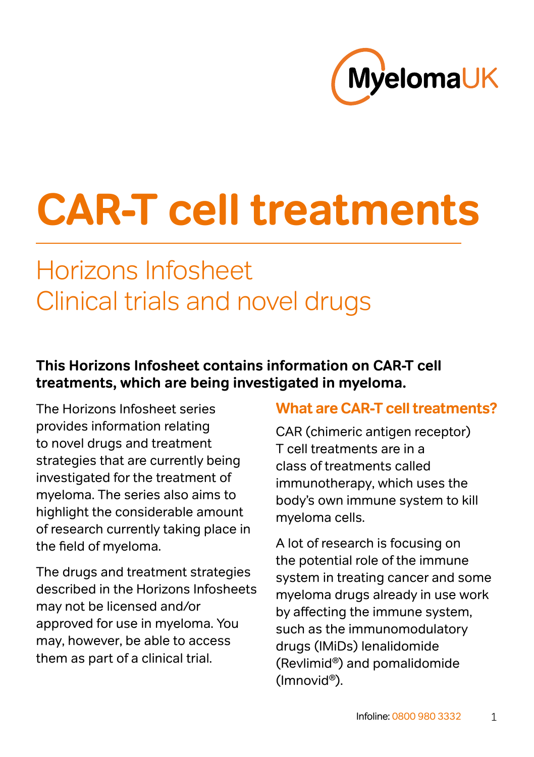

# **CAR‑T cell treatments**

# Horizons Infosheet Clinical trials and novel drugs

#### **This Horizons Infosheet contains information on CAR-T cell treatments, which are being investigated in myeloma.**

The Horizons Infosheet series provides information relating to novel drugs and treatment strategies that are currently being investigated for the treatment of myeloma. The series also aims to highlight the considerable amount of research currently taking place in the field of myeloma.

The drugs and treatment strategies described in the Horizons Infosheets may not be licensed and/or approved for use in myeloma. You may, however, be able to access them as part of a clinical trial.

#### **What are CAR-T cell treatments?**

CAR (chimeric antigen receptor) T cell treatments are in a class of treatments called immunotherapy, which uses the body's own immune system to kill myeloma cells.

A lot of research is focusing on the potential role of the immune system in treating cancer and some myeloma drugs already in use work by affecting the immune system, such as the immunomodulatory drugs (IMiDs) lenalidomide (Revlimid®) and pomalidomide (Imnovid®).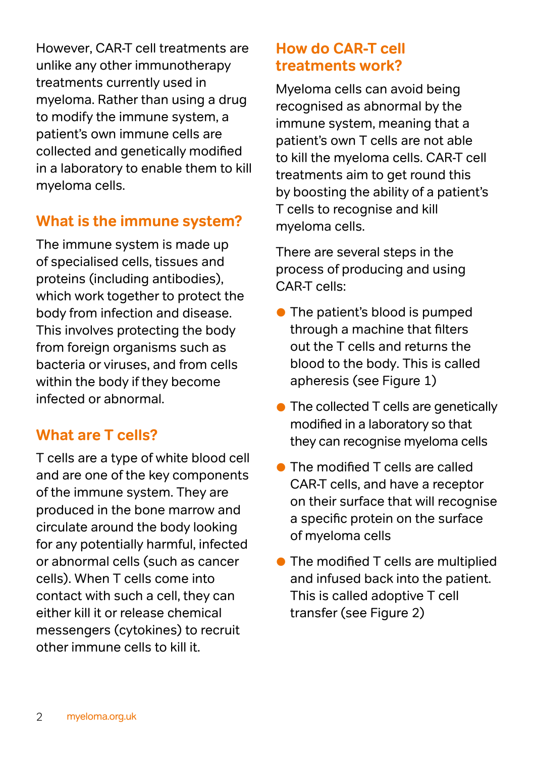However, CAR-T cell treatments are unlike any other immunotherapy treatments currently used in myeloma. Rather than using a drug to modify the immune system, a patient's own immune cells are collected and genetically modified in a laboratory to enable them to kill myeloma cells.

#### **What is the immune system?**

The immune system is made up of specialised cells, tissues and proteins (including antibodies), which work together to protect the body from infection and disease. This involves protecting the body from foreign organisms such as bacteria or viruses, and from cells within the body if they become infected or abnormal.

#### **What are T cells?**

T cells are a type of white blood cell and are one of the key components of the immune system. They are produced in the bone marrow and circulate around the body looking for any potentially harmful, infected or abnormal cells (such as cancer cells). When T cells come into contact with such a cell, they can either kill it or release chemical messengers (cytokines) to recruit other immune cells to kill it.

#### **How do CAR-T cell treatments work?**

Myeloma cells can avoid being recognised as abnormal by the immune system, meaning that a patient's own T cells are not able to kill the myeloma cells. CAR-T cell treatments aim to get round this by boosting the ability of a patient's T cells to recognise and kill myeloma cells.

There are several steps in the process of producing and using CAR-T cells:

- **The patient's blood is pumped** through a machine that filters out the T cells and returns the blood to the body. This is called apheresis (see Figure 1)
- The collected T cells are genetically modified in a laboratory so that they can recognise myeloma cells
- The modified T cells are called CAR-T cells, and have a receptor on their surface that will recognise a specific protein on the surface of myeloma cells
- **The modified T cells are multiplied** and infused back into the patient. This is called adoptive T cell transfer (see Figure 2)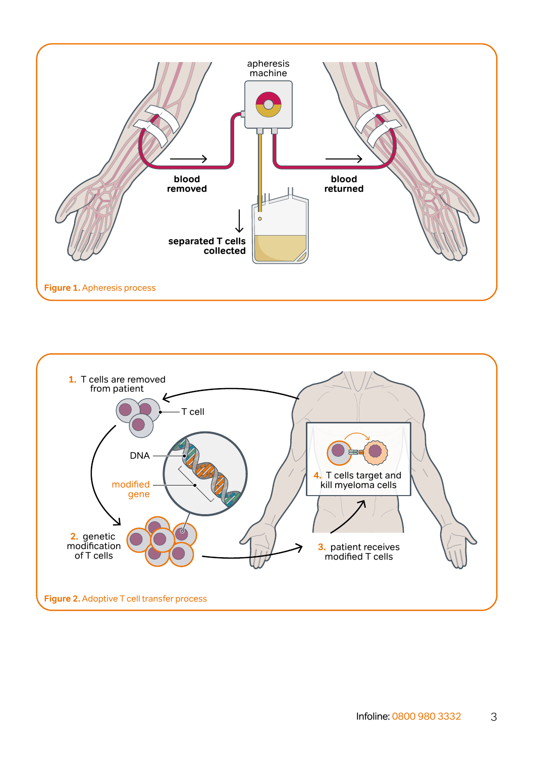

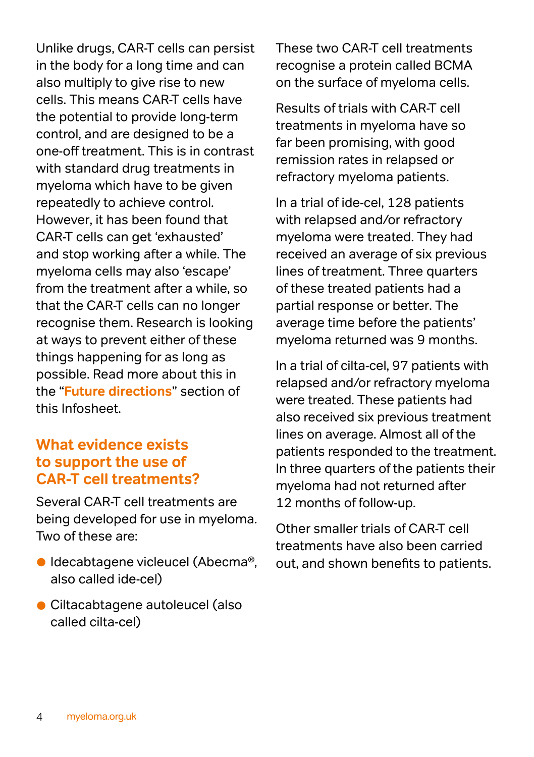Unlike drugs, CAR-T cells can persist in the body for a long time and can also multiply to give rise to new cells. This means CAR-T cells have the potential to provide long-term control, and are designed to be a one-off treatment. This is in contrast with standard drug treatments in myeloma which have to be given repeatedly to achieve control. However, it has been found that CAR-T cells can get 'exhausted' and stop working after a while. The myeloma cells may also 'escape' from the treatment after a while, so that the CAR-T cells can no longer recognise them. Research is looking at ways to prevent either of these things happening for as long as possible. Read more about this in the "**[Future directions](#page-5-0)**" section of this Infosheet.

#### **What evidence exists to support the use of CAR-T cell treatments?**

Several CAR-T cell treatments are being developed for use in myeloma. Two of these are:

- Idecabtagene vicleucel (Abecma®, also called ide-cel)
- Ciltacabtagene autoleucel (also called cilta-cel)

These two CAR-T cell treatments recognise a protein called BCMA on the surface of myeloma cells.

Results of trials with CAR-T cell treatments in myeloma have so far been promising, with good remission rates in relapsed or refractory myeloma patients.

In a trial of ide-cel, 128 patients with relapsed and/or refractory myeloma were treated. They had received an average of six previous lines of treatment. Three quarters of these treated patients had a partial response or better. The average time before the patients' myeloma returned was 9 months.

In a trial of cilta-cel, 97 patients with relapsed and/or refractory myeloma were treated. These patients had also received six previous treatment lines on average. Almost all of the patients responded to the treatment. In three quarters of the patients their myeloma had not returned after 12 months of follow-up.

Other smaller trials of CAR-T cell treatments have also been carried out, and shown benefits to patients.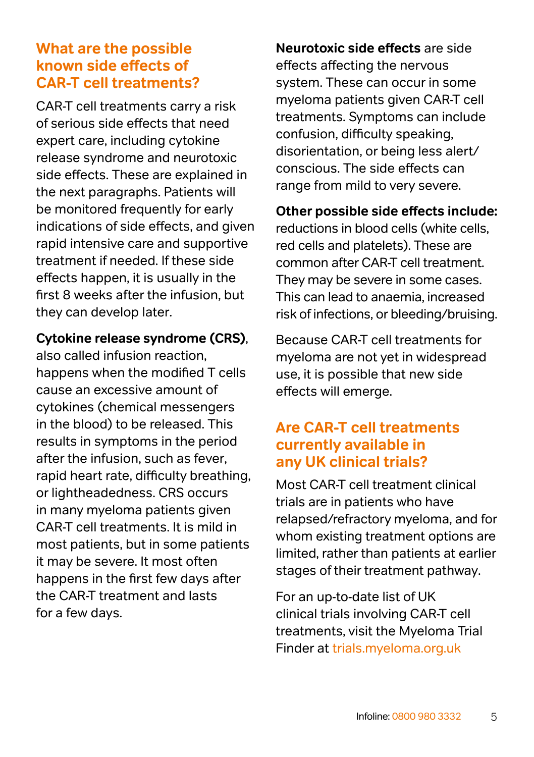#### **What are the possible known side effects of CAR-T cell treatments?**

CAR-T cell treatments carry a risk of serious side effects that need expert care, including cytokine release syndrome and neurotoxic side effects. These are explained in the next paragraphs. Patients will be monitored frequently for early indications of side effects, and given rapid intensive care and supportive treatment if needed. If these side effects happen, it is usually in the first 8 weeks after the infusion, but they can develop later.

#### **Cytokine release syndrome (CRS)**,

also called infusion reaction, happens when the modified T cells cause an excessive amount of cytokines (chemical messengers in the blood) to be released. This results in symptoms in the period after the infusion, such as fever, rapid heart rate, difficulty breathing, or lightheadedness. CRS occurs in many myeloma patients given CAR‑T cell treatments. It is mild in most patients, but in some patients it may be severe. It most often happens in the first few days after the CAR-T treatment and lasts for a few days.

**Neurotoxic side effects** are side effects affecting the nervous system. These can occur in some myeloma patients given CAR-T cell treatments. Symptoms can include confusion, difficulty speaking, disorientation, or being less alert/ conscious. The side effects can range from mild to very severe.

**Other possible side effects include:**  reductions in blood cells (white cells, red cells and platelets). These are common after CAR-T cell treatment. They may be severe in some cases. This can lead to anaemia, increased risk of infections, or bleeding/bruising.

Because CAR-T cell treatments for myeloma are not yet in widespread use, it is possible that new side effects will emerge.

#### **Are CAR-T cell treatments currently available in any UK clinical trials?**

Most CAR-T cell treatment clinical trials are in patients who have relapsed/refractory myeloma, and for whom existing treatment options are limited, rather than patients at earlier stages of their treatment pathway.

For an up-to-date list of UK clinical trials involving CAR-T cell treatments, visit the Myeloma Trial Finder at [trials.myeloma.org.uk](https://trials.myeloma.org.uk/)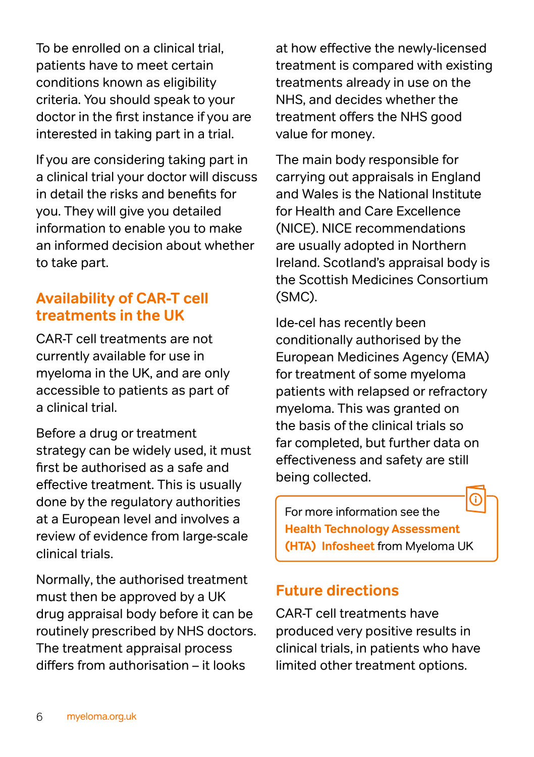To be enrolled on a clinical trial, patients have to meet certain conditions known as eligibility criteria. You should speak to your doctor in the first instance if you are interested in taking part in a trial.

If you are considering taking part in a clinical trial your doctor will discuss in detail the risks and benefits for you. They will give you detailed information to enable you to make an informed decision about whether to take part.

#### **Availability of CAR-T cell treatments in the UK**

CAR-T cell treatments are not currently available for use in myeloma in the UK, and are only accessible to patients as part of a clinical trial.

Before a drug or treatment strategy can be widely used, it must first be authorised as a safe and effective treatment. This is usually done by the regulatory authorities at a European level and involves a review of evidence from large-scale clinical trials.

Normally, the authorised treatment must then be approved by a UK drug appraisal body before it can be routinely prescribed by NHS doctors. The treatment appraisal process differs from authorisation – it looks

at how effective the newly-licensed treatment is compared with existing treatments already in use on the NHS, and decides whether the treatment offers the NHS good value for money.

The main body responsible for carrying out appraisals in England and Wales is the National Institute for Health and Care Excellence (NICE). NICE recommendations are usually adopted in Northern Ireland. Scotland's appraisal body is the Scottish Medicines Consortium (SMC).

Ide-cel has recently been conditionally authorised by the European Medicines Agency (EMA) for treatment of some myeloma patients with relapsed or refractory myeloma. This was granted on the basis of the clinical trials so far completed, but further data on effectiveness and safety are still being collected.

For more information see the **[Health Technology Assessment](https://www.myeloma.org.uk/documents/health-technology-assessment/)  [\(HTA\) Infosheet](https://www.myeloma.org.uk/documents/health-technology-assessment/)** from Myeloma UK

#### <span id="page-5-0"></span>**Future directions**

CAR-T cell treatments have produced very positive results in clinical trials, in patients who have limited other treatment options.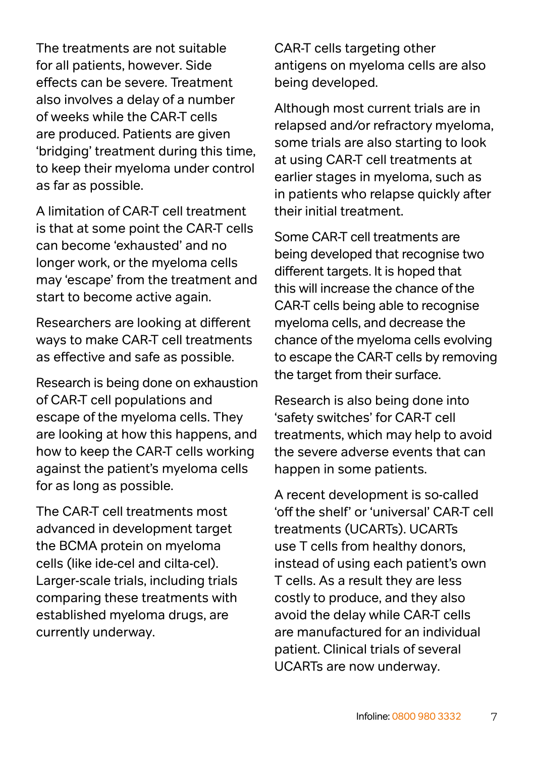The treatments are not suitable for all patients, however. Side effects can be severe. Treatment also involves a delay of a number of weeks while the CAR-T cells are produced. Patients are given 'bridging' treatment during this time, to keep their myeloma under control as far as possible.

A limitation of CAR-T cell treatment is that at some point the CAR-T cells can become 'exhausted' and no longer work, or the myeloma cells may 'escape' from the treatment and start to become active again.

Researchers are looking at different ways to make CAR-T cell treatments as effective and safe as possible.

Research is being done on exhaustion of CAR-T cell populations and escape of the myeloma cells. They are looking at how this happens, and how to keep the CAR-T cells working against the patient's myeloma cells for as long as possible.

The CAR-T cell treatments most advanced in development target the BCMA protein on myeloma cells (like ide-cel and cilta-cel). Larger-scale trials, including trials comparing these treatments with established myeloma drugs, are currently underway.

CAR-T cells targeting other antigens on myeloma cells are also being developed.

Although most current trials are in relapsed and/or refractory myeloma, some trials are also starting to look at using CAR-T cell treatments at earlier stages in myeloma, such as in patients who relapse quickly after their initial treatment.

Some CAR-T cell treatments are being developed that recognise two different targets. It is hoped that this will increase the chance of the CAR-T cells being able to recognise myeloma cells, and decrease the chance of the myeloma cells evolving to escape the CAR-T cells by removing the target from their surface.

Research is also being done into 'safety switches' for CAR-T cell treatments, which may help to avoid the severe adverse events that can happen in some patients.

A recent development is so-called 'off the shelf' or 'universal' CAR-T cell treatments (UCARTs). UCARTs use T cells from healthy donors, instead of using each patient's own T cells. As a result they are less costly to produce, and they also avoid the delay while CAR-T cells are manufactured for an individual patient. Clinical trials of several UCARTs are now underway.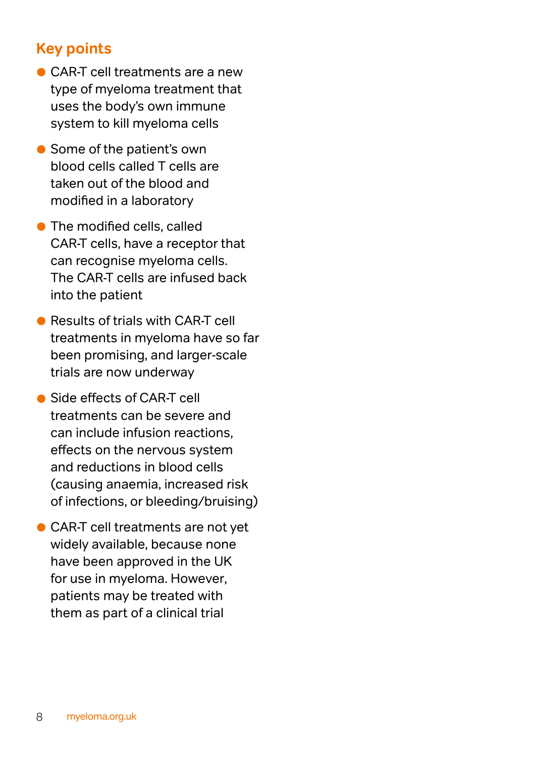#### **Key points**

- CAR-T cell treatments are a new type of myeloma treatment that uses the body's own immune system to kill myeloma cells
- Some of the patient's own blood cells called T cells are taken out of the blood and modified in a laboratory
- **The modified cells, called** CAR-T cells, have a receptor that can recognise myeloma cells. The CAR-T cells are infused back into the patient
- **Results of trials with CAR-T cell** treatments in myeloma have so far been promising, and larger-scale trials are now underway
- Side effects of CAR-T cell treatments can be severe and can include infusion reactions, effects on the nervous system and reductions in blood cells (causing anaemia, increased risk of infections, or bleeding/bruising)
- CAR-T cell treatments are not yet widely available, because none have been approved in the UK for use in myeloma. However, patients may be treated with them as part of a clinical trial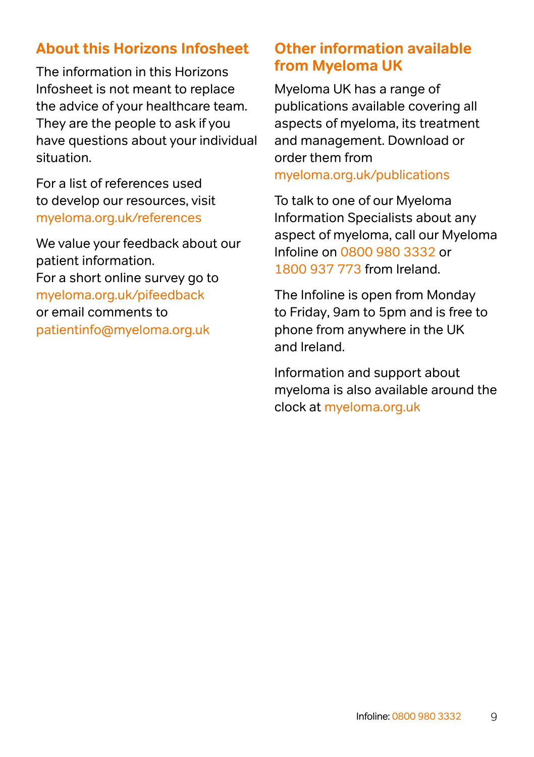#### **About this Horizons Infosheet**

The information in this Horizons Infosheet is not meant to replace the advice of your healthcare team. They are the people to ask if you have questions about your individual situation.

For a list of references used to develop our resources, visit [myeloma.org.uk/references](http://www.myeloma.org.uk/publications/about-our-information/)

We value your feedback about our patient information. For a short online survey go to [myeloma.org.uk/pifeedback](http://myeloma.org.uk/pifeedback)  or email comments to [patientinfo@myeloma.org.uk](mailto:patientinfo@myeloma.org.uk)

#### **Other information available from Myeloma UK**

Myeloma UK has a range of publications available covering all aspects of myeloma, its treatment and management. Download or order them from [myeloma.org.uk/publications](http://myeloma.org.uk/publications )

To talk to one of our Myeloma Information Specialists about any aspect of myeloma, call our Myeloma Infoline on [0800 980 3332](Tel:0800-980-3332) or [1800 937 773](Tel:1800-937-773) from Ireland.

The Infoline is open from Monday to Friday, 9am to 5pm and is free to phone from anywhere in the UK and Ireland.

Information and support about myeloma is also available around the clock at [myeloma.org.uk](http://www.myeloma.org.uk)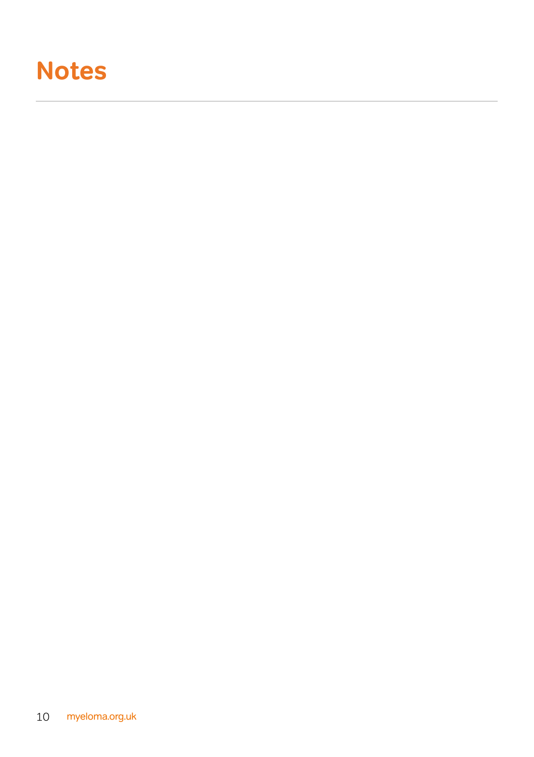## **Notes**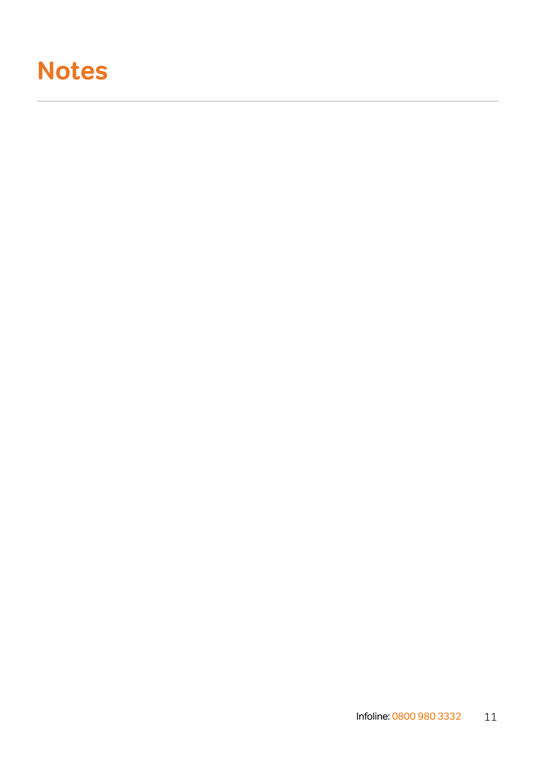## **Notes**